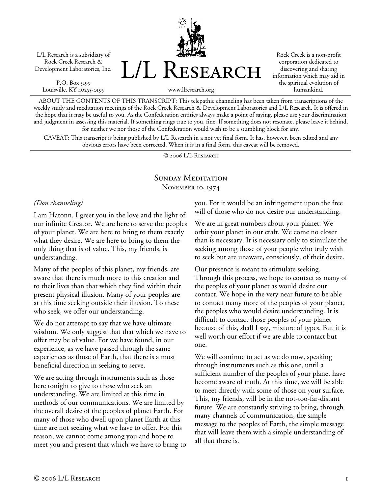L/L Research is a subsidiary of Rock Creek Research & Development Laboratories, Inc.

P.O. Box 5195 Louisville, KY 40255-0195 L/L Research

Rock Creek is a non-profit corporation dedicated to discovering and sharing information which may aid in the spiritual evolution of humankind.

www.llresearch.org

ABOUT THE CONTENTS OF THIS TRANSCRIPT: This telepathic channeling has been taken from transcriptions of the weekly study and meditation meetings of the Rock Creek Research & Development Laboratories and L/L Research. It is offered in the hope that it may be useful to you. As the Confederation entities always make a point of saying, please use your discrimination and judgment in assessing this material. If something rings true to you, fine. If something does not resonate, please leave it behind, for neither we nor those of the Confederation would wish to be a stumbling block for any.

CAVEAT: This transcript is being published by L/L Research in a not yet final form. It has, however, been edited and any obvious errors have been corrected. When it is in a final form, this caveat will be removed.

© 2006 L/L Research

#### SUNDAY MEDITATION NOVEMBER 10, 1974

#### *(Don channeling)*

I am Hatonn. I greet you in the love and the light of our infinite Creator. We are here to serve the peoples of your planet. We are here to bring to them exactly what they desire. We are here to bring to them the only thing that is of value. This, my friends, is understanding.

Many of the peoples of this planet, my friends, are aware that there is much more to this creation and to their lives than that which they find within their present physical illusion. Many of your peoples are at this time seeking outside their illusion. To these who seek, we offer our understanding.

We do not attempt to say that we have ultimate wisdom. We only suggest that that which we have to offer may be of value. For we have found, in our experience, as we have passed through the same experiences as those of Earth, that there is a most beneficial direction in seeking to serve.

We are acting through instruments such as those here tonight to give to those who seek an understanding. We are limited at this time in methods of our communications. We are limited by the overall desire of the peoples of planet Earth. For many of those who dwell upon planet Earth at this time are not seeking what we have to offer. For this reason, we cannot come among you and hope to meet you and present that which we have to bring to you. For it would be an infringement upon the free will of those who do not desire our understanding.

We are in great numbers about your planet. We orbit your planet in our craft. We come no closer than is necessary. It is necessary only to stimulate the seeking among those of your people who truly wish to seek but are unaware, consciously, of their desire.

Our presence is meant to stimulate seeking. Through this process, we hope to contact as many of the peoples of your planet as would desire our contact. We hope in the very near future to be able to contact many more of the peoples of your planet, the peoples who would desire understanding. It is difficult to contact those peoples of your planet because of this, shall I say, mixture of types. But it is well worth our effort if we are able to contact but one.

We will continue to act as we do now, speaking through instruments such as this one, until a sufficient number of the peoples of your planet have become aware of truth. At this time, we will be able to meet directly with some of those on your surface. This, my friends, will be in the not-too-far-distant future. We are constantly striving to bring, through many channels of communication, the simple message to the peoples of Earth, the simple message that will leave them with a simple understanding of all that there is.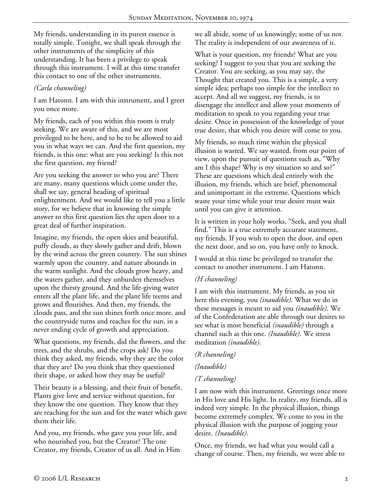My friends, understanding in its purest essence is totally simple. Tonight, we shall speak through the other instruments of the simplicity of this understanding. It has been a privilege to speak through this instrument. I will at this time transfer this contact to one of the other instruments.

# *(Carla channeling)*

I am Hatonn. I am with this instrument, and I greet you once more.

My friends, each of you within this room is truly seeking. We are aware of this, and we are most privileged to be here, and to be to be allowed to aid you in what ways we can. And the first question, my friends, is this one: what are you seeking? Is this not the first question, my friend?

Are you seeking the answer to who you are? There are many, many questions which come under the, shall we say, general heading of spiritual enlightenment. And we would like to tell you a little story, for we believe that in knowing the simple answer to this first question lies the open door to a great deal of further inspiration.

Imagine, my friends, the open skies and beautiful, puffy clouds, as they slowly gather and drift, blown by the wind across the green country. The sun shines warmly upon the country, and nature abounds in the warm sunlight. And the clouds grow heavy, and the waters gather, and they unburden themselves upon the thirsty ground. And the life-giving water enters all the plant life, and the plant life teems and grows and flourishes. And then, my friends, the clouds pass, and the sun shines forth once more, and the countryside turns and reaches for the sun, in a never ending cycle of growth and appreciation.

What questions, my friends, did the flowers, and the trees, and the shrubs, and the crops ask? Do you think they asked, my friends, why they are the color that they are? Do you think that they questioned their shape, or asked how they may be useful?

Their beauty is a blessing, and their fruit of benefit. Plants give love and service without question, for they know the one question. They know that they are reaching for the sun and for the water which gave them their life.

And you, my friends, who gave you your life, and who nourished you, but the Creator? The one Creator, my friends, Creator of us all. And in Him we all abide, some of us knowingly; some of us not. The reality is independent of our awareness of it.

What is your question, my friends? What are you seeking? I suggest to you that you are seeking the Creator. You are seeking, as you may say, the Thought that created you. This is a simple, a very simple idea; perhaps too simple for the intellect to accept. And all we suggest, my friends, is to disengage the intellect and allow your moments of meditation to speak to you regarding your true desire. Once in possession of the knowledge of your true desire, that which you desire will come to you.

My friends, so much time within the physical illusion is wasted. We say wasted, from our point of view, upon the pursuit of questions such as, "Why am I this shape? Why is my situation so and so?" These are questions which deal entirely with the illusion, my friends, which are brief, phenomenal and unimportant in the extreme. Questions which waste your time while your true desire must wait until you can give it attention.

It is written in your holy works, "Seek, and you shall find." This is a true extremely accurate statement, my friends. If you wish to open the door, and open the next door, and so on, you have only to knock.

I would at this time be privileged to transfer the contact to another instrument. I am Hatonn.

### *(H channeling)*

I am with this instrument. My friends, as you sit here this evening, you *(inaudible)*. What we do in these messages is meant to aid you *(inaudible)*. We of the Confederation are able through our desires to see what is most beneficial *(inaudible)* through a channel such as this one. *(Inaudible)*. We stress meditation *(inaudible)*.

### *(R channeling)*

# *(Inaudible)*

### *(T channeling)*

I am now with this instrument. Greetings once more in His love and His light. In reality, my friends, all is indeed very simple. In the physical illusion, things become extremely complex. We come to you in the physical illusion with the purpose of jogging your desire. *(Inaudible)*.

Once, my friends, we had what you would call a change of course. Then, my friends, we were able to